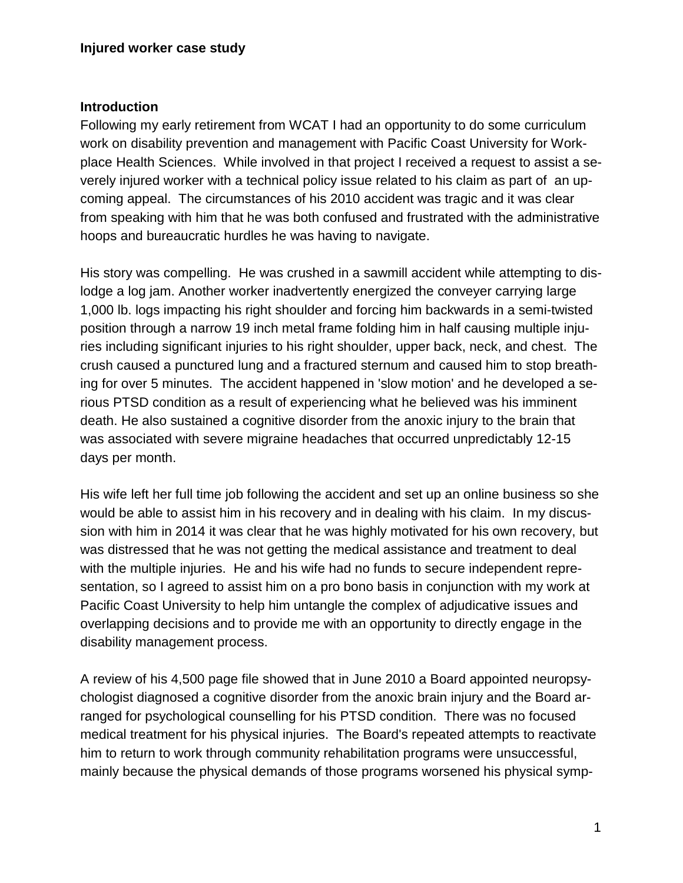#### **Introduction**

Following my early retirement from WCAT I had an opportunity to do some curriculum work on disability prevention and management with Pacific Coast University for Workplace Health Sciences. While involved in that project I received a request to assist a severely injured worker with a technical policy issue related to his claim as part of an upcoming appeal. The circumstances of his 2010 accident was tragic and it was clear from speaking with him that he was both confused and frustrated with the administrative hoops and bureaucratic hurdles he was having to navigate.

His story was compelling. He was crushed in a sawmill accident while attempting to dislodge a log jam. Another worker inadvertently energized the conveyer carrying large 1,000 lb. logs impacting his right shoulder and forcing him backwards in a semi-twisted position through a narrow 19 inch metal frame folding him in half causing multiple injuries including significant injuries to his right shoulder, upper back, neck, and chest. The crush caused a punctured lung and a fractured sternum and caused him to stop breathing for over 5 minutes. The accident happened in 'slow motion' and he developed a serious PTSD condition as a result of experiencing what he believed was his imminent death. He also sustained a cognitive disorder from the anoxic injury to the brain that was associated with severe migraine headaches that occurred unpredictably 12-15 days per month.

His wife left her full time job following the accident and set up an online business so she would be able to assist him in his recovery and in dealing with his claim. In my discussion with him in 2014 it was clear that he was highly motivated for his own recovery, but was distressed that he was not getting the medical assistance and treatment to deal with the multiple injuries. He and his wife had no funds to secure independent representation, so I agreed to assist him on a pro bono basis in conjunction with my work at Pacific Coast University to help him untangle the complex of adjudicative issues and overlapping decisions and to provide me with an opportunity to directly engage in the disability management process.

A review of his 4,500 page file showed that in June 2010 a Board appointed neuropsychologist diagnosed a cognitive disorder from the anoxic brain injury and the Board arranged for psychological counselling for his PTSD condition. There was no focused medical treatment for his physical injuries. The Board's repeated attempts to reactivate him to return to work through community rehabilitation programs were unsuccessful, mainly because the physical demands of those programs worsened his physical symp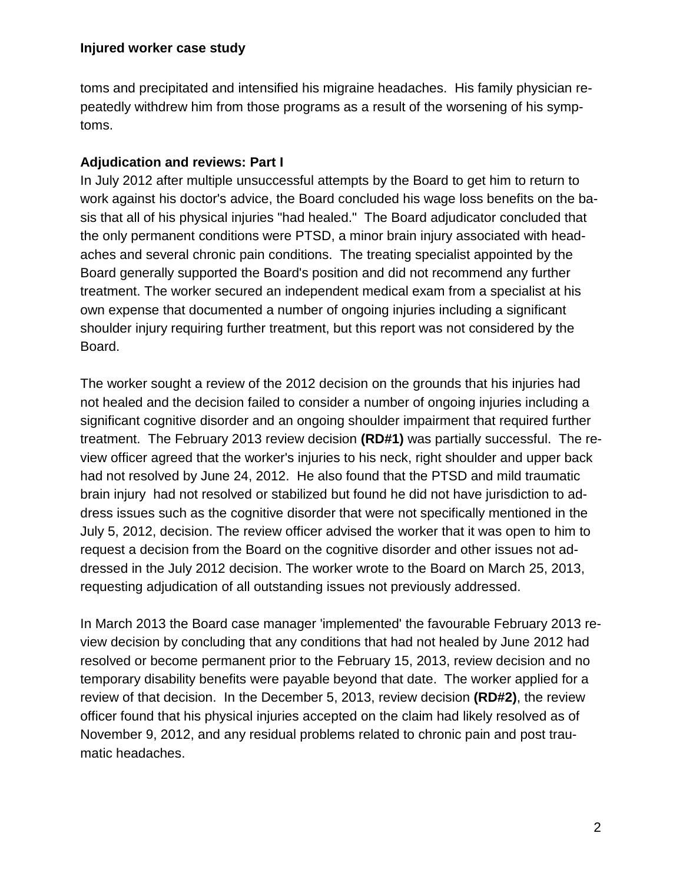toms and precipitated and intensified his migraine headaches. His family physician repeatedly withdrew him from those programs as a result of the worsening of his symptoms.

# **Adjudication and reviews: Part I**

In July 2012 after multiple unsuccessful attempts by the Board to get him to return to work against his doctor's advice, the Board concluded his wage loss benefits on the basis that all of his physical injuries "had healed." The Board adjudicator concluded that the only permanent conditions were PTSD, a minor brain injury associated with headaches and several chronic pain conditions. The treating specialist appointed by the Board generally supported the Board's position and did not recommend any further treatment. The worker secured an independent medical exam from a specialist at his own expense that documented a number of ongoing injuries including a significant shoulder injury requiring further treatment, but this report was not considered by the Board.

The worker sought a review of the 2012 decision on the grounds that his injuries had not healed and the decision failed to consider a number of ongoing injuries including a significant cognitive disorder and an ongoing shoulder impairment that required further treatment. The February 2013 review decision **(RD#1)** was partially successful. The review officer agreed that the worker's injuries to his neck, right shoulder and upper back had not resolved by June 24, 2012. He also found that the PTSD and mild traumatic brain injury had not resolved or stabilized but found he did not have jurisdiction to address issues such as the cognitive disorder that were not specifically mentioned in the July 5, 2012, decision. The review officer advised the worker that it was open to him to request a decision from the Board on the cognitive disorder and other issues not addressed in the July 2012 decision. The worker wrote to the Board on March 25, 2013, requesting adjudication of all outstanding issues not previously addressed.

In March 2013 the Board case manager 'implemented' the favourable February 2013 review decision by concluding that any conditions that had not healed by June 2012 had resolved or become permanent prior to the February 15, 2013, review decision and no temporary disability benefits were payable beyond that date. The worker applied for a review of that decision. In the December 5, 2013, review decision **(RD#2)**, the review officer found that his physical injuries accepted on the claim had likely resolved as of November 9, 2012, and any residual problems related to chronic pain and post traumatic headaches.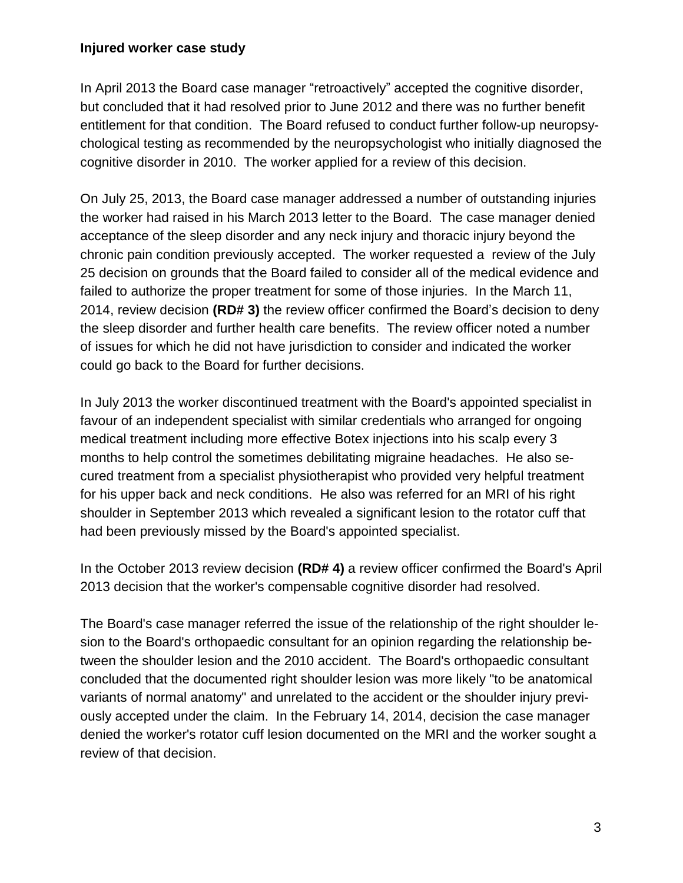In April 2013 the Board case manager "retroactively" accepted the cognitive disorder, but concluded that it had resolved prior to June 2012 and there was no further benefit entitlement for that condition. The Board refused to conduct further follow-up neuropsychological testing as recommended by the neuropsychologist who initially diagnosed the cognitive disorder in 2010. The worker applied for a review of this decision.

On July 25, 2013, the Board case manager addressed a number of outstanding injuries the worker had raised in his March 2013 letter to the Board. The case manager denied acceptance of the sleep disorder and any neck injury and thoracic injury beyond the chronic pain condition previously accepted. The worker requested a review of the July 25 decision on grounds that the Board failed to consider all of the medical evidence and failed to authorize the proper treatment for some of those injuries. In the March 11, 2014, review decision **(RD# 3)** the review officer confirmed the Board's decision to deny the sleep disorder and further health care benefits. The review officer noted a number of issues for which he did not have jurisdiction to consider and indicated the worker could go back to the Board for further decisions.

In July 2013 the worker discontinued treatment with the Board's appointed specialist in favour of an independent specialist with similar credentials who arranged for ongoing medical treatment including more effective Botex injections into his scalp every 3 months to help control the sometimes debilitating migraine headaches. He also secured treatment from a specialist physiotherapist who provided very helpful treatment for his upper back and neck conditions. He also was referred for an MRI of his right shoulder in September 2013 which revealed a significant lesion to the rotator cuff that had been previously missed by the Board's appointed specialist.

In the October 2013 review decision **(RD# 4)** a review officer confirmed the Board's April 2013 decision that the worker's compensable cognitive disorder had resolved.

The Board's case manager referred the issue of the relationship of the right shoulder lesion to the Board's orthopaedic consultant for an opinion regarding the relationship between the shoulder lesion and the 2010 accident. The Board's orthopaedic consultant concluded that the documented right shoulder lesion was more likely "to be anatomical variants of normal anatomy" and unrelated to the accident or the shoulder injury previously accepted under the claim. In the February 14, 2014, decision the case manager denied the worker's rotator cuff lesion documented on the MRI and the worker sought a review of that decision.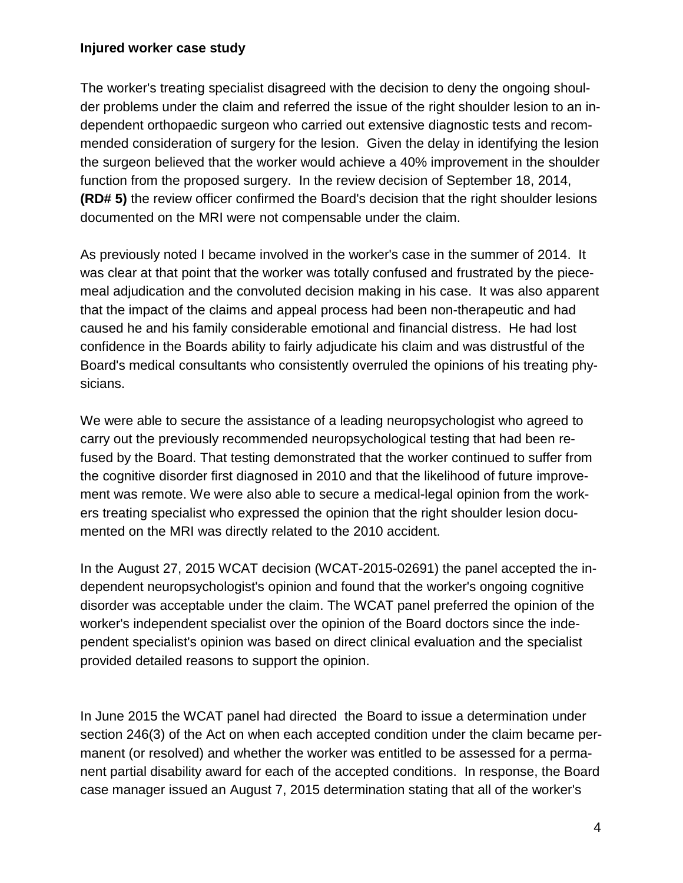The worker's treating specialist disagreed with the decision to deny the ongoing shoulder problems under the claim and referred the issue of the right shoulder lesion to an independent orthopaedic surgeon who carried out extensive diagnostic tests and recommended consideration of surgery for the lesion. Given the delay in identifying the lesion the surgeon believed that the worker would achieve a 40% improvement in the shoulder function from the proposed surgery. In the review decision of September 18, 2014, **(RD# 5)** the review officer confirmed the Board's decision that the right shoulder lesions documented on the MRI were not compensable under the claim.

As previously noted I became involved in the worker's case in the summer of 2014. It was clear at that point that the worker was totally confused and frustrated by the piecemeal adjudication and the convoluted decision making in his case. It was also apparent that the impact of the claims and appeal process had been non-therapeutic and had caused he and his family considerable emotional and financial distress. He had lost confidence in the Boards ability to fairly adjudicate his claim and was distrustful of the Board's medical consultants who consistently overruled the opinions of his treating physicians.

We were able to secure the assistance of a leading neuropsychologist who agreed to carry out the previously recommended neuropsychological testing that had been refused by the Board. That testing demonstrated that the worker continued to suffer from the cognitive disorder first diagnosed in 2010 and that the likelihood of future improvement was remote. We were also able to secure a medical-legal opinion from the workers treating specialist who expressed the opinion that the right shoulder lesion documented on the MRI was directly related to the 2010 accident.

In the August 27, 2015 WCAT decision (WCAT-2015-02691) the panel accepted the independent neuropsychologist's opinion and found that the worker's ongoing cognitive disorder was acceptable under the claim. The WCAT panel preferred the opinion of the worker's independent specialist over the opinion of the Board doctors since the independent specialist's opinion was based on direct clinical evaluation and the specialist provided detailed reasons to support the opinion.

In June 2015 the WCAT panel had directed the Board to issue a determination under section 246(3) of the Act on when each accepted condition under the claim became permanent (or resolved) and whether the worker was entitled to be assessed for a permanent partial disability award for each of the accepted conditions. In response, the Board case manager issued an August 7, 2015 determination stating that all of the worker's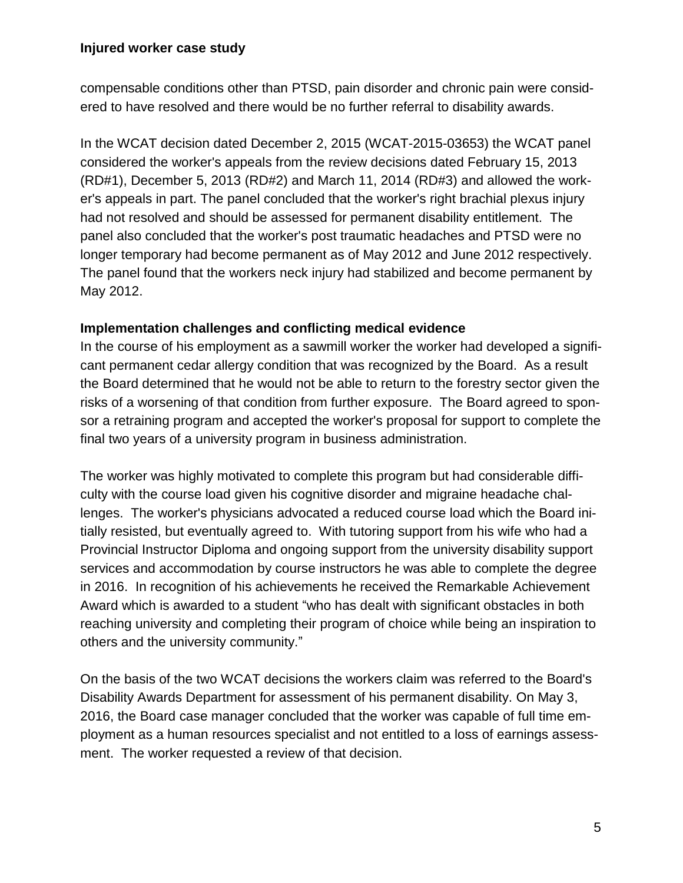compensable conditions other than PTSD, pain disorder and chronic pain were considered to have resolved and there would be no further referral to disability awards.

In the WCAT decision dated December 2, 2015 (WCAT-2015-03653) the WCAT panel considered the worker's appeals from the review decisions dated February 15, 2013 (RD#1), December 5, 2013 (RD#2) and March 11, 2014 (RD#3) and allowed the worker's appeals in part. The panel concluded that the worker's right brachial plexus injury had not resolved and should be assessed for permanent disability entitlement. The panel also concluded that the worker's post traumatic headaches and PTSD were no longer temporary had become permanent as of May 2012 and June 2012 respectively. The panel found that the workers neck injury had stabilized and become permanent by May 2012.

### **Implementation challenges and conflicting medical evidence**

In the course of his employment as a sawmill worker the worker had developed a significant permanent cedar allergy condition that was recognized by the Board. As a result the Board determined that he would not be able to return to the forestry sector given the risks of a worsening of that condition from further exposure. The Board agreed to sponsor a retraining program and accepted the worker's proposal for support to complete the final two years of a university program in business administration.

The worker was highly motivated to complete this program but had considerable difficulty with the course load given his cognitive disorder and migraine headache challenges. The worker's physicians advocated a reduced course load which the Board initially resisted, but eventually agreed to. With tutoring support from his wife who had a Provincial Instructor Diploma and ongoing support from the university disability support services and accommodation by course instructors he was able to complete the degree in 2016. In recognition of his achievements he received the Remarkable Achievement Award which is awarded to a student "who has dealt with significant obstacles in both reaching university and completing their program of choice while being an inspiration to others and the university community."

On the basis of the two WCAT decisions the workers claim was referred to the Board's Disability Awards Department for assessment of his permanent disability. On May 3, 2016, the Board case manager concluded that the worker was capable of full time employment as a human resources specialist and not entitled to a loss of earnings assessment. The worker requested a review of that decision.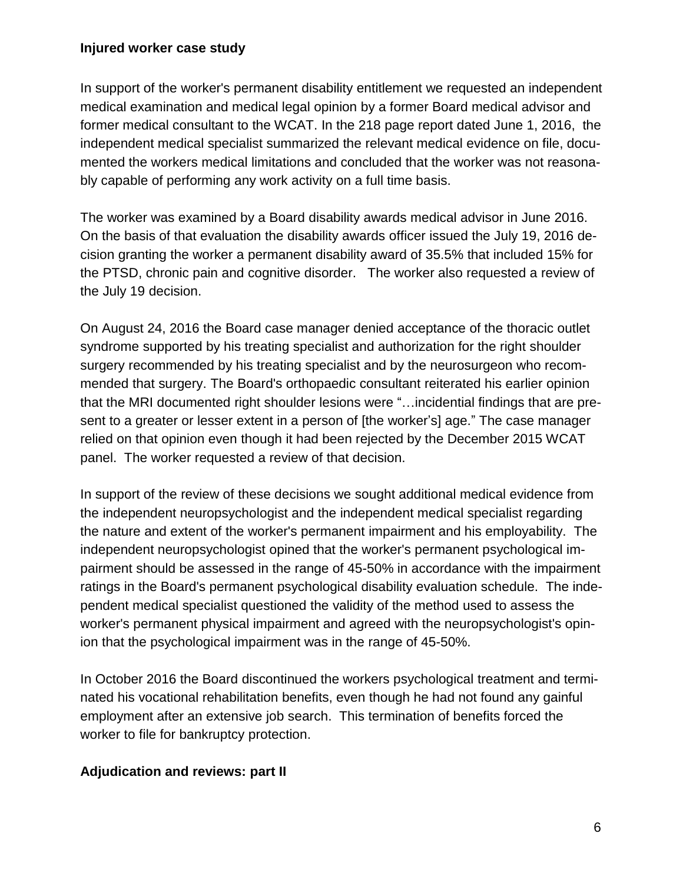In support of the worker's permanent disability entitlement we requested an independent medical examination and medical legal opinion by a former Board medical advisor and former medical consultant to the WCAT. In the 218 page report dated June 1, 2016, the independent medical specialist summarized the relevant medical evidence on file, documented the workers medical limitations and concluded that the worker was not reasonably capable of performing any work activity on a full time basis.

The worker was examined by a Board disability awards medical advisor in June 2016. On the basis of that evaluation the disability awards officer issued the July 19, 2016 decision granting the worker a permanent disability award of 35.5% that included 15% for the PTSD, chronic pain and cognitive disorder. The worker also requested a review of the July 19 decision.

On August 24, 2016 the Board case manager denied acceptance of the thoracic outlet syndrome supported by his treating specialist and authorization for the right shoulder surgery recommended by his treating specialist and by the neurosurgeon who recommended that surgery. The Board's orthopaedic consultant reiterated his earlier opinion that the MRI documented right shoulder lesions were "…incidential findings that are present to a greater or lesser extent in a person of [the worker's] age." The case manager relied on that opinion even though it had been rejected by the December 2015 WCAT panel. The worker requested a review of that decision.

In support of the review of these decisions we sought additional medical evidence from the independent neuropsychologist and the independent medical specialist regarding the nature and extent of the worker's permanent impairment and his employability. The independent neuropsychologist opined that the worker's permanent psychological impairment should be assessed in the range of 45-50% in accordance with the impairment ratings in the Board's permanent psychological disability evaluation schedule. The independent medical specialist questioned the validity of the method used to assess the worker's permanent physical impairment and agreed with the neuropsychologist's opinion that the psychological impairment was in the range of 45-50%.

In October 2016 the Board discontinued the workers psychological treatment and terminated his vocational rehabilitation benefits, even though he had not found any gainful employment after an extensive job search. This termination of benefits forced the worker to file for bankruptcy protection.

## **Adjudication and reviews: part II**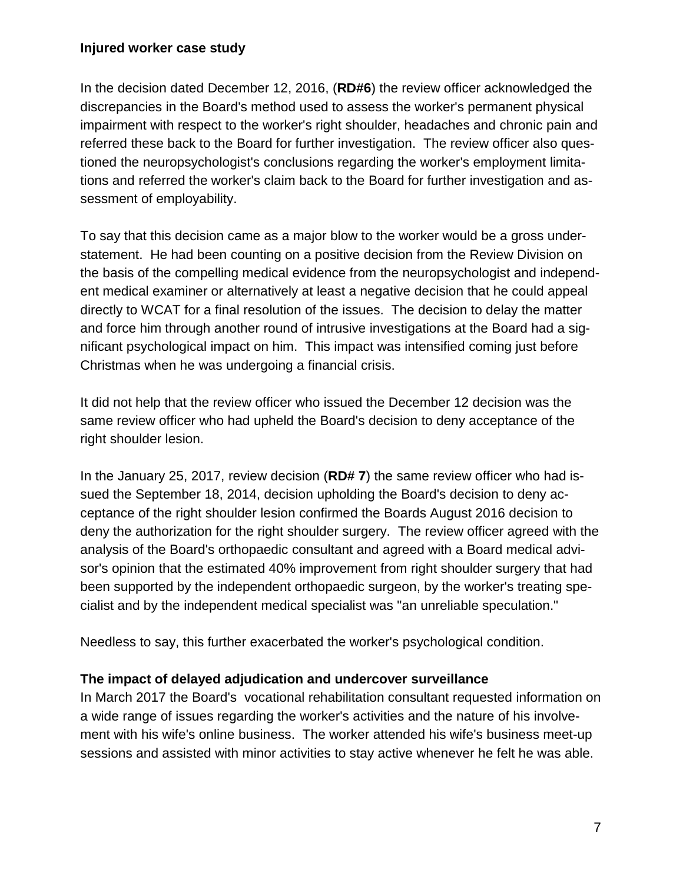In the decision dated December 12, 2016, (**RD#6**) the review officer acknowledged the discrepancies in the Board's method used to assess the worker's permanent physical impairment with respect to the worker's right shoulder, headaches and chronic pain and referred these back to the Board for further investigation. The review officer also questioned the neuropsychologist's conclusions regarding the worker's employment limitations and referred the worker's claim back to the Board for further investigation and assessment of employability.

To say that this decision came as a major blow to the worker would be a gross understatement. He had been counting on a positive decision from the Review Division on the basis of the compelling medical evidence from the neuropsychologist and independent medical examiner or alternatively at least a negative decision that he could appeal directly to WCAT for a final resolution of the issues. The decision to delay the matter and force him through another round of intrusive investigations at the Board had a significant psychological impact on him. This impact was intensified coming just before Christmas when he was undergoing a financial crisis.

It did not help that the review officer who issued the December 12 decision was the same review officer who had upheld the Board's decision to deny acceptance of the right shoulder lesion.

In the January 25, 2017, review decision (**RD# 7**) the same review officer who had issued the September 18, 2014, decision upholding the Board's decision to deny acceptance of the right shoulder lesion confirmed the Boards August 2016 decision to deny the authorization for the right shoulder surgery. The review officer agreed with the analysis of the Board's orthopaedic consultant and agreed with a Board medical advisor's opinion that the estimated 40% improvement from right shoulder surgery that had been supported by the independent orthopaedic surgeon, by the worker's treating specialist and by the independent medical specialist was "an unreliable speculation."

Needless to say, this further exacerbated the worker's psychological condition.

## **The impact of delayed adjudication and undercover surveillance**

In March 2017 the Board's vocational rehabilitation consultant requested information on a wide range of issues regarding the worker's activities and the nature of his involvement with his wife's online business. The worker attended his wife's business meet-up sessions and assisted with minor activities to stay active whenever he felt he was able.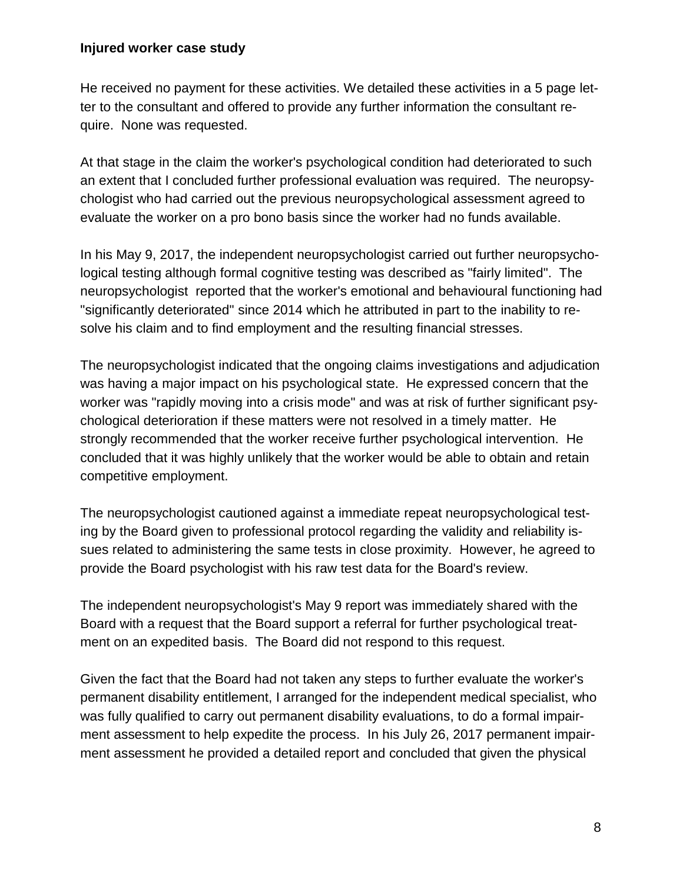He received no payment for these activities. We detailed these activities in a 5 page letter to the consultant and offered to provide any further information the consultant require. None was requested.

At that stage in the claim the worker's psychological condition had deteriorated to such an extent that I concluded further professional evaluation was required. The neuropsychologist who had carried out the previous neuropsychological assessment agreed to evaluate the worker on a pro bono basis since the worker had no funds available.

In his May 9, 2017, the independent neuropsychologist carried out further neuropsychological testing although formal cognitive testing was described as "fairly limited". The neuropsychologist reported that the worker's emotional and behavioural functioning had "significantly deteriorated" since 2014 which he attributed in part to the inability to resolve his claim and to find employment and the resulting financial stresses.

The neuropsychologist indicated that the ongoing claims investigations and adjudication was having a major impact on his psychological state. He expressed concern that the worker was "rapidly moving into a crisis mode" and was at risk of further significant psychological deterioration if these matters were not resolved in a timely matter. He strongly recommended that the worker receive further psychological intervention. He concluded that it was highly unlikely that the worker would be able to obtain and retain competitive employment.

The neuropsychologist cautioned against a immediate repeat neuropsychological testing by the Board given to professional protocol regarding the validity and reliability issues related to administering the same tests in close proximity. However, he agreed to provide the Board psychologist with his raw test data for the Board's review.

The independent neuropsychologist's May 9 report was immediately shared with the Board with a request that the Board support a referral for further psychological treatment on an expedited basis. The Board did not respond to this request.

Given the fact that the Board had not taken any steps to further evaluate the worker's permanent disability entitlement, I arranged for the independent medical specialist, who was fully qualified to carry out permanent disability evaluations, to do a formal impairment assessment to help expedite the process. In his July 26, 2017 permanent impairment assessment he provided a detailed report and concluded that given the physical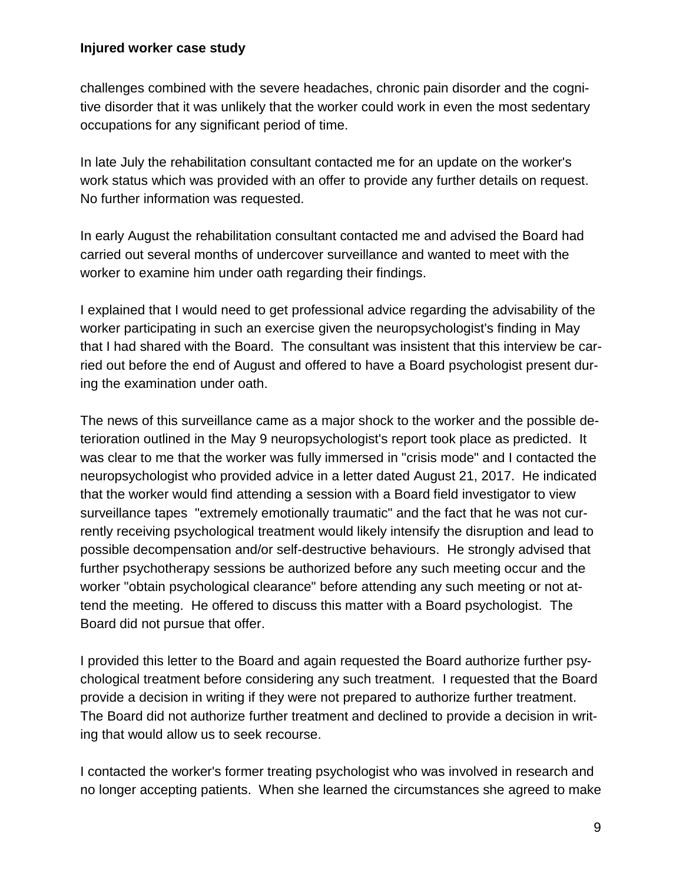challenges combined with the severe headaches, chronic pain disorder and the cognitive disorder that it was unlikely that the worker could work in even the most sedentary occupations for any significant period of time.

In late July the rehabilitation consultant contacted me for an update on the worker's work status which was provided with an offer to provide any further details on request. No further information was requested.

In early August the rehabilitation consultant contacted me and advised the Board had carried out several months of undercover surveillance and wanted to meet with the worker to examine him under oath regarding their findings.

I explained that I would need to get professional advice regarding the advisability of the worker participating in such an exercise given the neuropsychologist's finding in May that I had shared with the Board. The consultant was insistent that this interview be carried out before the end of August and offered to have a Board psychologist present during the examination under oath.

The news of this surveillance came as a major shock to the worker and the possible deterioration outlined in the May 9 neuropsychologist's report took place as predicted. It was clear to me that the worker was fully immersed in "crisis mode" and I contacted the neuropsychologist who provided advice in a letter dated August 21, 2017. He indicated that the worker would find attending a session with a Board field investigator to view surveillance tapes "extremely emotionally traumatic" and the fact that he was not currently receiving psychological treatment would likely intensify the disruption and lead to possible decompensation and/or self-destructive behaviours. He strongly advised that further psychotherapy sessions be authorized before any such meeting occur and the worker "obtain psychological clearance" before attending any such meeting or not attend the meeting. He offered to discuss this matter with a Board psychologist. The Board did not pursue that offer.

I provided this letter to the Board and again requested the Board authorize further psychological treatment before considering any such treatment. I requested that the Board provide a decision in writing if they were not prepared to authorize further treatment. The Board did not authorize further treatment and declined to provide a decision in writing that would allow us to seek recourse.

I contacted the worker's former treating psychologist who was involved in research and no longer accepting patients. When she learned the circumstances she agreed to make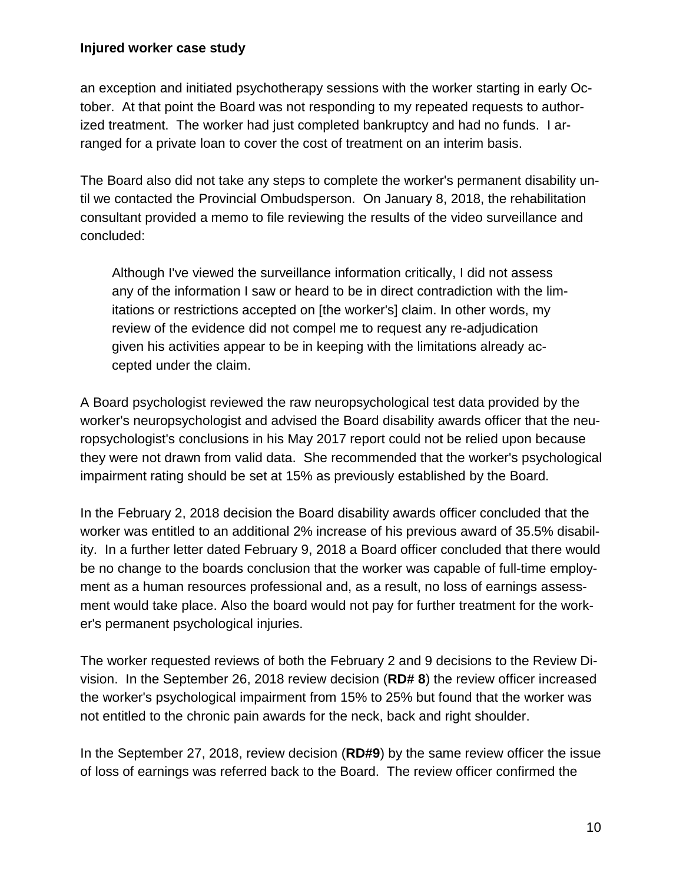an exception and initiated psychotherapy sessions with the worker starting in early October. At that point the Board was not responding to my repeated requests to authorized treatment. The worker had just completed bankruptcy and had no funds. I arranged for a private loan to cover the cost of treatment on an interim basis.

The Board also did not take any steps to complete the worker's permanent disability until we contacted the Provincial Ombudsperson. On January 8, 2018, the rehabilitation consultant provided a memo to file reviewing the results of the video surveillance and concluded:

Although I've viewed the surveillance information critically, I did not assess any of the information I saw or heard to be in direct contradiction with the limitations or restrictions accepted on [the worker's] claim. In other words, my review of the evidence did not compel me to request any re-adjudication given his activities appear to be in keeping with the limitations already accepted under the claim.

A Board psychologist reviewed the raw neuropsychological test data provided by the worker's neuropsychologist and advised the Board disability awards officer that the neuropsychologist's conclusions in his May 2017 report could not be relied upon because they were not drawn from valid data. She recommended that the worker's psychological impairment rating should be set at 15% as previously established by the Board.

In the February 2, 2018 decision the Board disability awards officer concluded that the worker was entitled to an additional 2% increase of his previous award of 35.5% disability. In a further letter dated February 9, 2018 a Board officer concluded that there would be no change to the boards conclusion that the worker was capable of full-time employment as a human resources professional and, as a result, no loss of earnings assessment would take place. Also the board would not pay for further treatment for the worker's permanent psychological injuries.

The worker requested reviews of both the February 2 and 9 decisions to the Review Division. In the September 26, 2018 review decision (**RD# 8**) the review officer increased the worker's psychological impairment from 15% to 25% but found that the worker was not entitled to the chronic pain awards for the neck, back and right shoulder.

In the September 27, 2018, review decision (**RD#9**) by the same review officer the issue of loss of earnings was referred back to the Board. The review officer confirmed the